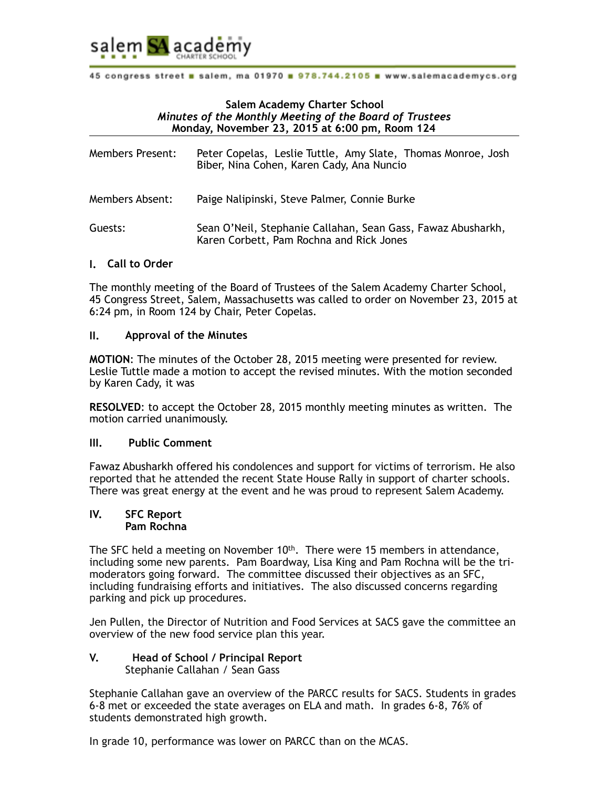

# **Salem Academy Charter School**   *Minutes of the Monthly Meeting of the Board of Trustees*  **Monday, November 23, 2015 at 6:00 pm, Room 124**

| <b>Members Present:</b> | Peter Copelas, Leslie Tuttle, Amy Slate, Thomas Monroe, Josh<br>Biber, Nina Cohen, Karen Cady, Ana Nuncio |
|-------------------------|-----------------------------------------------------------------------------------------------------------|
| Members Absent:         | Paige Nalipinski, Steve Palmer, Connie Burke                                                              |
| Guests:                 | Sean O'Neil, Stephanie Callahan, Sean Gass, Fawaz Abusharkh,<br>Karen Corbett, Pam Rochna and Rick Jones  |

## **I. Call to Order**

The monthly meeting of the Board of Trustees of the Salem Academy Charter School, 45 Congress Street, Salem, Massachusetts was called to order on November 23, 2015 at 6:24 pm, in Room 124 by Chair, Peter Copelas.

# **II. Approval of the Minutes**

**MOTION**: The minutes of the October 28, 2015 meeting were presented for review. Leslie Tuttle made a motion to accept the revised minutes. With the motion seconded by Karen Cady, it was

**RESOLVED**: to accept the October 28, 2015 monthly meeting minutes as written. The motion carried unanimously.

## **III. Public Comment**

Fawaz Abusharkh offered his condolences and support for victims of terrorism. He also reported that he attended the recent State House Rally in support of charter schools. There was great energy at the event and he was proud to represent Salem Academy.

## **IV. SFC Report Pam Rochna**

The SFC held a meeting on November  $10<sup>th</sup>$ . There were 15 members in attendance, including some new parents. Pam Boardway, Lisa King and Pam Rochna will be the trimoderators going forward. The committee discussed their objectives as an SFC, including fundraising efforts and initiatives. The also discussed concerns regarding parking and pick up procedures.

Jen Pullen, the Director of Nutrition and Food Services at SACS gave the committee an overview of the new food service plan this year.

### **V. Head of School / Principal Report**  Stephanie Callahan / Sean Gass

Stephanie Callahan gave an overview of the PARCC results for SACS. Students in grades 6-8 met or exceeded the state averages on ELA and math. In grades 6-8, 76% of students demonstrated high growth.

In grade 10, performance was lower on PARCC than on the MCAS.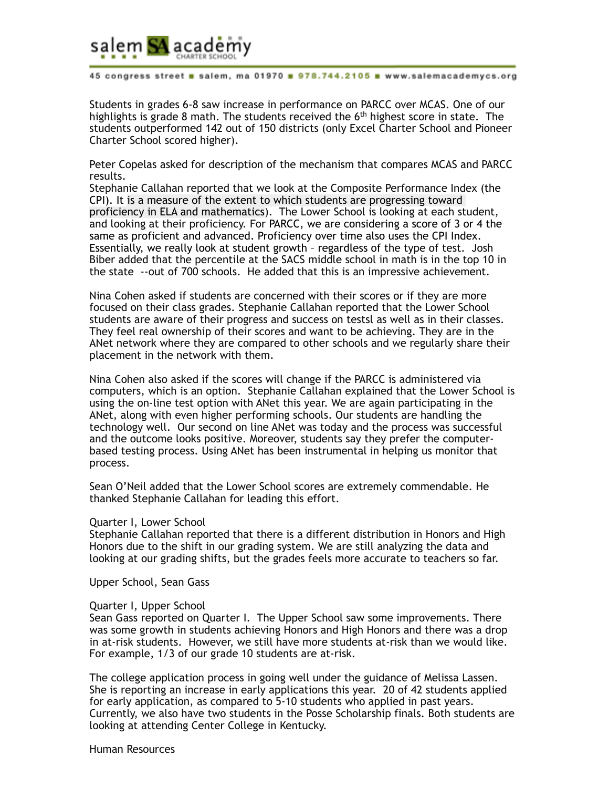

Students in grades 6-8 saw increase in performance on PARCC over MCAS. One of our highlights is grade 8 math. The students received the  $6<sup>th</sup>$  highest score in state. The students outperformed 142 out of 150 districts (only Excel Charter School and Pioneer Charter School scored higher).

Peter Copelas asked for description of the mechanism that compares MCAS and PARCC results.

Stephanie Callahan reported that we look at the Composite Performance Index (the CPI). It is a measure of the extent to which students are progressing toward proficiency in ELA and mathematics). The Lower School is looking at each student, and looking at their proficiency. For PARCC, we are considering a score of 3 or 4 the same as proficient and advanced. Proficiency over time also uses the CPI Index. Essentially, we really look at student growth – regardless of the type of test. Josh Biber added that the percentile at the SACS middle school in math is in the top 10 in the state --out of 700 schools. He added that this is an impressive achievement.

Nina Cohen asked if students are concerned with their scores or if they are more focused on their class grades. Stephanie Callahan reported that the Lower School students are aware of their progress and success on testsl as well as in their classes. They feel real ownership of their scores and want to be achieving. They are in the ANet network where they are compared to other schools and we regularly share their placement in the network with them.

Nina Cohen also asked if the scores will change if the PARCC is administered via computers, which is an option. Stephanie Callahan explained that the Lower School is using the on-line test option with ANet this year. We are again participating in the ANet, along with even higher performing schools. Our students are handling the technology well. Our second on line ANet was today and the process was successful and the outcome looks positive. Moreover, students say they prefer the computerbased testing process. Using ANet has been instrumental in helping us monitor that process.

Sean O'Neil added that the Lower School scores are extremely commendable. He thanked Stephanie Callahan for leading this effort.

#### Quarter I, Lower School

Stephanie Callahan reported that there is a different distribution in Honors and High Honors due to the shift in our grading system. We are still analyzing the data and looking at our grading shifts, but the grades feels more accurate to teachers so far.

Upper School, Sean Gass

#### Quarter I, Upper School

Sean Gass reported on Quarter I. The Upper School saw some improvements. There was some growth in students achieving Honors and High Honors and there was a drop in at-risk students. However, we still have more students at-risk than we would like. For example, 1/3 of our grade 10 students are at-risk.

The college application process in going well under the guidance of Melissa Lassen. She is reporting an increase in early applications this year. 20 of 42 students applied for early application, as compared to 5-10 students who applied in past years. Currently, we also have two students in the Posse Scholarship finals. Both students are looking at attending Center College in Kentucky.

Human Resources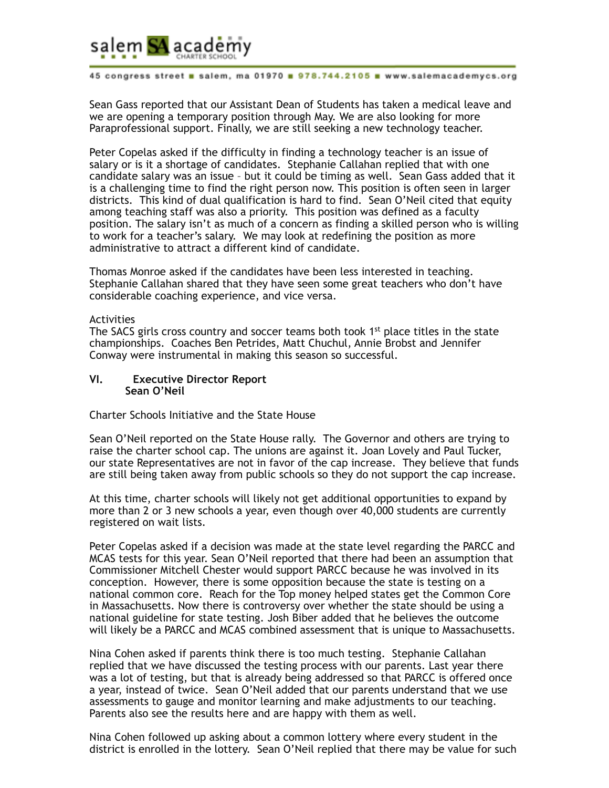

Sean Gass reported that our Assistant Dean of Students has taken a medical leave and we are opening a temporary position through May. We are also looking for more Paraprofessional support. Finally, we are still seeking a new technology teacher.

Peter Copelas asked if the difficulty in finding a technology teacher is an issue of salary or is it a shortage of candidates. Stephanie Callahan replied that with one candidate salary was an issue – but it could be timing as well. Sean Gass added that it is a challenging time to find the right person now. This position is often seen in larger districts. This kind of dual qualification is hard to find. Sean O'Neil cited that equity among teaching staff was also a priority. This position was defined as a faculty position. The salary isn't as much of a concern as finding a skilled person who is willing to work for a teacher's salary. We may look at redefining the position as more administrative to attract a different kind of candidate.

Thomas Monroe asked if the candidates have been less interested in teaching. Stephanie Callahan shared that they have seen some great teachers who don't have considerable coaching experience, and vice versa.

#### Activities

The SACS girls cross country and soccer teams both took  $1<sup>st</sup>$  place titles in the state championships. Coaches Ben Petrides, Matt Chuchul, Annie Brobst and Jennifer Conway were instrumental in making this season so successful.

#### **VI. Executive Director Report Sean O'Neil**

Charter Schools Initiative and the State House

Sean O'Neil reported on the State House rally. The Governor and others are trying to raise the charter school cap. The unions are against it. Joan Lovely and Paul Tucker, our state Representatives are not in favor of the cap increase. They believe that funds are still being taken away from public schools so they do not support the cap increase.

At this time, charter schools will likely not get additional opportunities to expand by more than 2 or 3 new schools a year, even though over 40,000 students are currently registered on wait lists.

Peter Copelas asked if a decision was made at the state level regarding the PARCC and MCAS tests for this year. Sean O'Neil reported that there had been an assumption that Commissioner Mitchell Chester would support PARCC because he was involved in its conception. However, there is some opposition because the state is testing on a national common core. Reach for the Top money helped states get the Common Core in Massachusetts. Now there is controversy over whether the state should be using a national guideline for state testing. Josh Biber added that he believes the outcome will likely be a PARCC and MCAS combined assessment that is unique to Massachusetts.

Nina Cohen asked if parents think there is too much testing. Stephanie Callahan replied that we have discussed the testing process with our parents. Last year there was a lot of testing, but that is already being addressed so that PARCC is offered once a year, instead of twice. Sean O'Neil added that our parents understand that we use assessments to gauge and monitor learning and make adjustments to our teaching. Parents also see the results here and are happy with them as well.

Nina Cohen followed up asking about a common lottery where every student in the district is enrolled in the lottery. Sean O'Neil replied that there may be value for such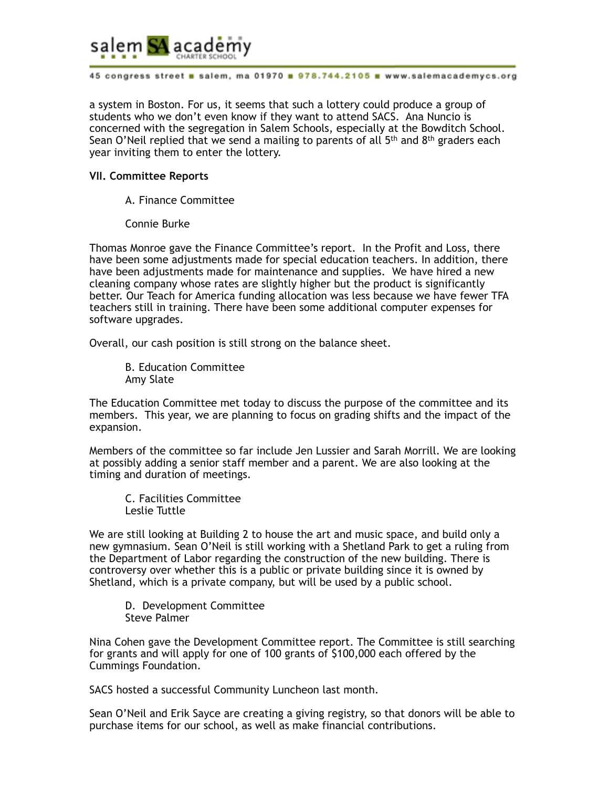

a system in Boston. For us, it seems that such a lottery could produce a group of students who we don't even know if they want to attend SACS. Ana Nuncio is concerned with the segregation in Salem Schools, especially at the Bowditch School. Sean O'Neil replied that we send a mailing to parents of all  $5<sup>th</sup>$  and  $8<sup>th</sup>$  graders each year inviting them to enter the lottery.

### **VII. Committee Reports**

- A. Finance Committee
- Connie Burke

Thomas Monroe gave the Finance Committee's report. In the Profit and Loss, there have been some adjustments made for special education teachers. In addition, there have been adjustments made for maintenance and supplies. We have hired a new cleaning company whose rates are slightly higher but the product is significantly better. Our Teach for America funding allocation was less because we have fewer TFA teachers still in training. There have been some additional computer expenses for software upgrades.

Overall, our cash position is still strong on the balance sheet.

B. Education Committee Amy Slate

The Education Committee met today to discuss the purpose of the committee and its members. This year, we are planning to focus on grading shifts and the impact of the expansion.

Members of the committee so far include Jen Lussier and Sarah Morrill. We are looking at possibly adding a senior staff member and a parent. We are also looking at the timing and duration of meetings.

C. Facilities Committee Leslie Tuttle

We are still looking at Building 2 to house the art and music space, and build only a new gymnasium. Sean O'Neil is still working with a Shetland Park to get a ruling from the Department of Labor regarding the construction of the new building. There is controversy over whether this is a public or private building since it is owned by Shetland, which is a private company, but will be used by a public school.

D. Development Committee Steve Palmer

Nina Cohen gave the Development Committee report. The Committee is still searching for grants and will apply for one of 100 grants of \$100,000 each offered by the Cummings Foundation.

SACS hosted a successful Community Luncheon last month.

Sean O'Neil and Erik Sayce are creating a giving registry, so that donors will be able to purchase items for our school, as well as make financial contributions.